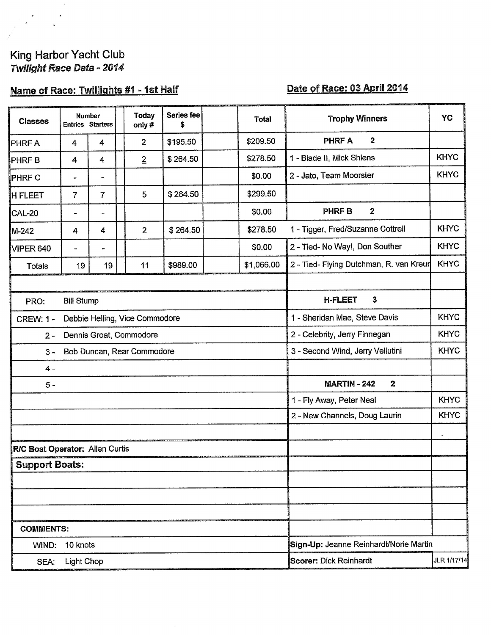# King Harbor Yacht Club<br>Twilight Race Data - 2014

### Name of Race: Twillights #1 - 1st Half

#### Date of Race: 03 April 2014

| <b>Classes</b>                                     | <b>Number</b>     | <b>Entries Starters</b> | Today<br>only# | <b>Series fee</b><br>\$ |                                              | <b>Total</b>                            | <b>Trophy Winners</b>                   | YC          |
|----------------------------------------------------|-------------------|-------------------------|----------------|-------------------------|----------------------------------------------|-----------------------------------------|-----------------------------------------|-------------|
| PHRF A                                             | $\boldsymbol{4}$  | 4                       | $\overline{2}$ | \$195.50                |                                              | \$209.50                                | <b>PHRF A</b><br>2                      |             |
| <b>PHRFB</b>                                       | 4                 | $\overline{4}$          | $\overline{2}$ | \$264.50                |                                              | \$278.50                                | 1 - Blade II, Mick Shlens               | <b>KHYC</b> |
| <b>PHRF C</b>                                      |                   |                         |                |                         |                                              | \$0.00                                  | 2 - Jato, Team Moorster                 | <b>KHYC</b> |
| <b>H FLEET</b>                                     | $\overline{7}$    | 7                       | 5              | \$264.50                |                                              | \$299.50                                |                                         |             |
| CAL-20                                             | $\blacksquare$    | -                       |                |                         |                                              | \$0.00                                  | $\mathbf{2}$<br><b>PHRFB</b>            |             |
| M-242                                              | 4                 | 4                       | $\overline{2}$ | \$264.50                |                                              | \$278.50                                | 1 - Tigger, Fred/Suzanne Cottrell       | <b>KHYC</b> |
| VIPER 640                                          |                   | $\blacksquare$          |                |                         |                                              | \$0.00                                  | 2 - Tied- No Way!, Don Souther          | <b>KHYC</b> |
| <b>Totals</b>                                      | 19                | 19                      | 11             | \$989.00                |                                              | \$1,066.00                              | 2 - Tied- Flying Dutchman, R. van Kreur | <b>KHYC</b> |
|                                                    |                   |                         |                |                         |                                              |                                         |                                         |             |
| PRO:                                               | <b>Bill Stump</b> |                         |                |                         |                                              |                                         | 3<br><b>H-FLEET</b>                     |             |
| Debbie Helling, Vice Commodore<br><b>CREW: 1 -</b> |                   |                         |                |                         | <b>KHYC</b><br>1 - Sheridan Mae, Steve Davis |                                         |                                         |             |
| Dennis Groat, Commodore<br>$2 -$                   |                   |                         |                |                         | 2 - Celebrity, Jerry Finnegan                | <b>KHYC</b>                             |                                         |             |
| Bob Duncan, Rear Commodore<br>$3 -$                |                   |                         |                |                         | 3 - Second Wind, Jerry Vellutini             | <b>KHYC</b>                             |                                         |             |
| $4 -$                                              |                   |                         |                |                         |                                              |                                         |                                         |             |
| $5 -$                                              |                   |                         |                |                         |                                              | <b>MARTIN - 242</b><br>$\boldsymbol{2}$ |                                         |             |
|                                                    |                   |                         |                |                         |                                              |                                         | 1 - Fly Away, Peter Neal                | <b>KHYC</b> |
|                                                    |                   |                         |                |                         |                                              | 2 - New Channels, Doug Laurin           | <b>KHYC</b>                             |             |
|                                                    |                   |                         |                |                         |                                              |                                         |                                         |             |
| R/C Boat Operator: Allen Curtis                    |                   |                         |                |                         |                                              |                                         |                                         |             |
| <b>Support Boats:</b>                              |                   |                         |                |                         |                                              |                                         |                                         |             |
|                                                    |                   |                         |                |                         |                                              |                                         |                                         |             |
|                                                    |                   |                         |                |                         |                                              |                                         |                                         |             |
|                                                    |                   |                         |                |                         |                                              |                                         |                                         |             |
| <b>COMMENTS:</b>                                   |                   |                         |                |                         |                                              |                                         |                                         |             |
| 10 knots<br>WIND:                                  |                   |                         |                |                         | Sign-Up: Jeanne Reinhardt/Norie Martin       |                                         |                                         |             |
| <b>Light Chop</b><br>SEA:                          |                   |                         |                |                         | Scorer: Dick Reinhardt                       | JLR 1/17/14                             |                                         |             |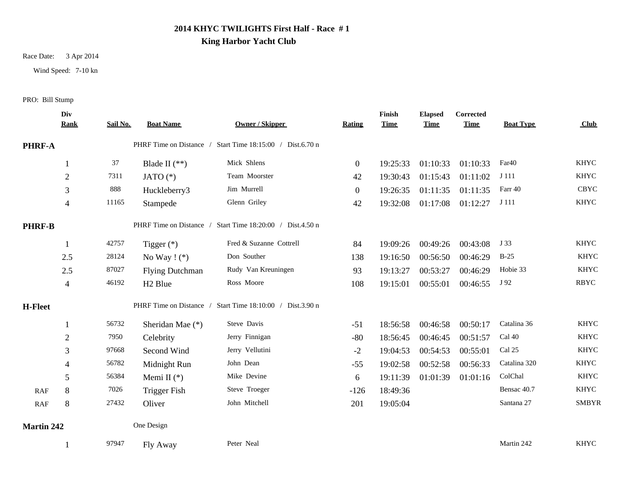## **2014 KHYC TWILIGHTS First Half - Race # 1**

#### **King Harbor Yacht Club**

#### Race Date: 3 Apr 2014

Wind Speed: 7-10 kn

#### PRO: Bill Stump

|                   | Div<br><b>Rank</b> | Sail No. | <b>Boat Name</b>       | <b>Owner / Skipper</b>                                    | Rating       | Finish<br><b>Time</b> | <b>Elapsed</b><br><b>Time</b> | Corrected<br><b>Time</b> | <b>Boat Type</b> | <b>Club</b>  |
|-------------------|--------------------|----------|------------------------|-----------------------------------------------------------|--------------|-----------------------|-------------------------------|--------------------------|------------------|--------------|
| <b>PHRF-A</b>     |                    |          |                        | PHRF Time on Distance / Start Time 18:15:00 / Dist.6.70 n |              |                       |                               |                          |                  |              |
|                   |                    | 37       | Blade II $(**)$        | Mick Shlens                                               | $\mathbf{0}$ | 19:25:33              | 01:10:33                      | 01:10:33                 | Far40            | <b>KHYC</b>  |
|                   | 2                  | 7311     | JATO $(*)$             | Team Moorster                                             | 42           | 19:30:43              | 01:15:43                      | 01:11:02                 | J 111            | <b>KHYC</b>  |
|                   | 3                  | 888      | Huckleberry3           | Jim Murrell                                               | $\mathbf{0}$ | 19:26:35              | 01:11:35                      | 01:11:35                 | Farr 40          | <b>CBYC</b>  |
|                   | 4                  | 11165    | Stampede               | Glenn Griley                                              | 42           | 19:32:08              | 01:17:08                      | 01:12:27                 | J 111            | KHYC         |
| <b>PHRF-B</b>     |                    |          |                        | PHRF Time on Distance / Start Time 18:20:00 / Dist.4.50 n |              |                       |                               |                          |                  |              |
|                   |                    | 42757    | Tigger $(*)$           | Fred & Suzanne Cottrell                                   | 84           | 19:09:26              | 00:49:26                      | 00:43:08                 | J 33             | <b>KHYC</b>  |
|                   | 2.5                | 28124    | No Way $!$ (*)         | Don Souther                                               | 138          | 19:16:50              | 00:56:50                      | 00:46:29                 | $B-25$           | <b>KHYC</b>  |
|                   | 2.5                | 87027    | <b>Flying Dutchman</b> | Rudy Van Kreuningen                                       | 93           | 19:13:27              | 00:53:27                      | 00:46:29                 | Hobie 33         | <b>KHYC</b>  |
|                   | 4                  | 46192    | H <sub>2</sub> Blue    | Ross Moore                                                | 108          | 19:15:01              | 00:55:01                      | 00:46:55                 | J 92             | <b>RBYC</b>  |
| <b>H-Fleet</b>    |                    |          |                        | PHRF Time on Distance / Start Time 18:10:00 / Dist.3.90 n |              |                       |                               |                          |                  |              |
|                   |                    | 56732    | Sheridan Mae (*)       | Steve Davis                                               | $-51$        | 18:56:58              | 00:46:58                      | 00:50:17                 | Catalina 36      | <b>KHYC</b>  |
|                   | 2                  | 7950     | Celebrity              | Jerry Finnigan                                            | $-80$        | 18:56:45              | 00:46:45                      | 00:51:57                 | Cal 40           | <b>KHYC</b>  |
|                   | 3                  | 97668    | Second Wind            | Jerry Vellutini                                           | $-2$         | 19:04:53              | 00:54:53                      | 00:55:01                 | Cal 25           | <b>KHYC</b>  |
|                   | 4                  | 56782    | Midnight Run           | John Dean                                                 | $-55$        | 19:02:58              | 00:52:58                      | 00:56:33                 | Catalina 320     | <b>KHYC</b>  |
|                   | 5                  | 56384    | Memi II $(*)$          | Mike Devine                                               | 6            | 19:11:39              | 01:01:39                      | 01:01:16                 | ColChal          | <b>KHYC</b>  |
| RAF               | $\,8\,$            | 7026     | <b>Trigger Fish</b>    | Steve Troeger                                             | $-126$       | 18:49:36              |                               |                          | Bensac 40.7      | <b>KHYC</b>  |
| RAF               | 8                  | 27432    | Oliver                 | John Mitchell                                             | 201          | 19:05:04              |                               |                          | Santana 27       | <b>SMBYR</b> |
| <b>Martin 242</b> |                    |          | One Design             |                                                           |              |                       |                               |                          |                  |              |
|                   |                    | 97947    | Fly Away               | Peter Neal                                                |              |                       |                               |                          | Martin 242       | <b>KHYC</b>  |